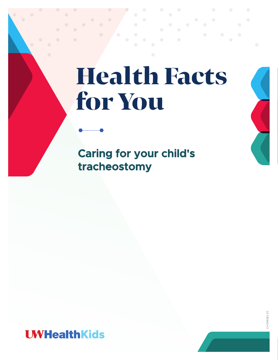# Health Facts for You

**Caring for your child's tracheostomy**



CH-594082-20 CH-594082-20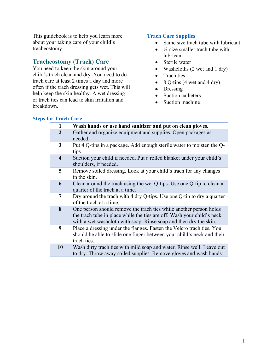This guidebook is to help you learn more about your taking care of your child's tracheostomy.

## **Tracheostomy (Trach) Care**

You need to keep the skin around your child's trach clean and dry. You need to do trach care at least 2 times a day and more often if the trach dressing gets wet. This will help keep the skin healthy. A wet dressing or trach ties can lead to skin irritation and breakdown.

## **Trach Care Supplies**

- Same size trach tube with lubricant
- $\bullet$   $\frac{1}{2}$ -size smaller trach tube with lubricant
- Sterile water
- Washcloths (2 wet and 1 dry)
- Trach ties
- 8 Q-tips  $(4 \text{ wet and } 4 \text{ dry})$
- Dressing
- Suction catheters
- Suction machine

## **Steps for Trach Care**

| $\mathbf{1}$            | Wash hands or use hand sanitizer and put on clean gloves.                                                                                                                                                         |
|-------------------------|-------------------------------------------------------------------------------------------------------------------------------------------------------------------------------------------------------------------|
| $\overline{2}$          | Gather and organize equipment and supplies. Open packages as<br>needed.                                                                                                                                           |
| 3                       | Put 4 Q-tips in a package. Add enough sterile water to moisten the Q-<br>tips.                                                                                                                                    |
| $\overline{\mathbf{4}}$ | Suction your child if needed. Put a rolled blanket under your child's<br>shoulders, if needed.                                                                                                                    |
| 5                       | Remove soiled dressing. Look at your child's trach for any changes<br>in the skin.                                                                                                                                |
| 6                       | Clean around the trach using the wet Q-tips. Use one Q-tip to clean a<br>quarter of the trach at a time.                                                                                                          |
| $\overline{7}$          | Dry around the trach with 4 dry Q-tips. Use one Q-tip to dry a quarter<br>of the trach at a time.                                                                                                                 |
| 8                       | One person should remove the trach ties while another person holds<br>the trach tube in place while the ties are off. Wash your child's neck<br>with a wet washeloth with soap. Rinse soap and then dry the skin. |
| 9                       | Place a dressing under the flanges. Fasten the Velcro trach ties. You<br>should be able to slide one finger between your child's neck and their<br>trach ties.                                                    |
| 10                      | Wash dirty trach ties with mild soap and water. Rinse well. Leave out<br>to dry. Throw away soiled supplies. Remove gloves and wash hands.                                                                        |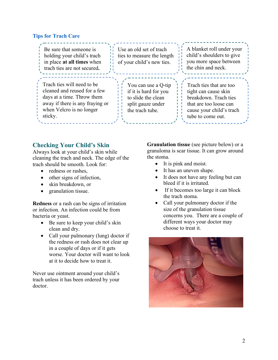## **Tips for Trach Care**

| Be sure that someone is<br>holding your child's trach<br>in place at all times when<br>trach ties are not secured.                                                 | Use an old set of trach<br>ties to measure the length<br>of your child's new ties.                         | A blanket roll under your<br>child's shoulders to give<br>you more space between<br>the chin and neck.                                              |
|--------------------------------------------------------------------------------------------------------------------------------------------------------------------|------------------------------------------------------------------------------------------------------------|-----------------------------------------------------------------------------------------------------------------------------------------------------|
| Trach ties will need to be<br>cleaned and reused for a few<br>days at a time. Throw them<br>away if there is any fraying or<br>when Velcro is no longer<br>sticky. | You can use a Q-tip<br>if it is hard for you<br>to slide the clean<br>split gauze under<br>the trach tube. | Trach ties that are too<br>tight can cause skin<br>breakdown. Trach ties<br>that are too loose can<br>cause your child's trach<br>tube to come out. |

# **Checking Your Child's Skin**

Always look at your child's skin while cleaning the trach and neck. The edge of the trach should be smooth. Look for:

- redness or rashes.
- other signs of infection,
- skin breakdown, or
- granulation tissue.

**Redness** or a rash can be signs of irritation or infection. An infection could be from bacteria or yeast.

- Be sure to keep your child's skin clean and dry.
- Call your pulmonary (lung) doctor if the redness or rash does not clear up in a couple of days or if it gets worse. Your doctor will want to look at it to decide how to treat it.

Never use ointment around your child's trach unless it has been ordered by your doctor.

**Granulation tissue** (see picture below) or a granuloma is scar tissue. It can grow around the stoma.

- It is pink and moist.
- It has an uneven shape.
- It does not have any feeling but can bleed if it is irritated.
- If it becomes too large it can block the trach stoma.
- Call your pulmonary doctor if the size of the granulation tissue concerns you. There are a couple of different ways your doctor may choose to treat it.

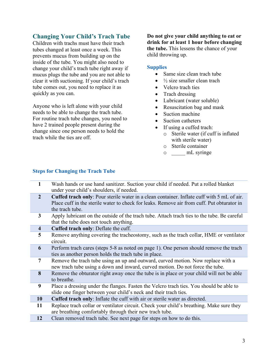# **Changing Your Child's Trach Tube**

Children with trachs must have their trach tubes changed at least once a week. This prevents mucus from building up on the inside of the tube. You might also need to change your child's trach tube right away if mucus plugs the tube and you are not able to clear it with suctioning. If your child's trach tube comes out, you need to replace it as quickly as you can.

Anyone who is left alone with your child needs to be able to change the trach tube. For routine trach tube changes, you need to have 2 trained people present during the change since one person needs to hold the trach while the ties are off.

**Do not give your child anything to eat or drink for at least 1 hour before changing the tube.** This lessens the chance of your child throwing up.

#### **Supplies**

- Same size clean trach tube
- $\bullet$   $\frac{1}{2}$  size smaller clean trach
- Velcro trach ties
- Trach dressing
- Lubricant (water soluble)
- Resuscitation bag and mask
- Suction machine
- Suction catheters
- If using a cuffed trach:
	- o Sterile water (if cuff is inflated with sterile water)
	- o Sterile container
	- o <u>mL</u> syringe

#### **Steps for Changing the Trach Tube**

| $\mathbf{1}$            | Wash hands or use hand sanitizer. Suction your child if needed. Put a rolled blanket<br>under your child's shoulders, if needed.                                                                                   |
|-------------------------|--------------------------------------------------------------------------------------------------------------------------------------------------------------------------------------------------------------------|
| $\overline{2}$          | <b>Cuffed trach only:</b> Pour sterile water in a clean container. Inflate cuff with 5 mL of air.<br>Place cuff in the sterile water to check for leaks. Remove air from cuff. Put obturator in<br>the trach tube. |
| 3                       | Apply lubricant on the outside of the trach tube. Attach trach ties to the tube. Be careful<br>that the tube does not touch anything.                                                                              |
| $\overline{\mathbf{4}}$ | Cuffed trach only: Deflate the cuff.                                                                                                                                                                               |
| 5                       | Remove anything covering the tracheostomy, such as the trach collar, HME or ventilator<br>circuit.                                                                                                                 |
| 6                       | Perform trach cares (steps 5-8 as noted on page 1). One person should remove the trach<br>ties as another person holds the trach tube in place.                                                                    |
| $\overline{7}$          | Remove the trach tube using an up and outward, curved motion. Now replace with a<br>new trach tube using a down and inward, curved motion. Do not force the tube.                                                  |
| 8                       | Remove the obturator right away once the tube is in place or your child will not be able<br>to breathe.                                                                                                            |
| 9                       | Place a dressing under the flanges. Fasten the Velcro trach ties. You should be able to<br>slide one finger between your child's neck and their trach ties.                                                        |
| <b>10</b>               | Cuffed trach only: Inflate the cuff with air or sterile water as directed.                                                                                                                                         |
| 11                      | Replace trach collar or ventilator circuit. Check your child's breathing. Make sure they<br>are breathing comfortably through their new trach tube.                                                                |
| 12                      | Clean removed trach tube. See next page for steps on how to do this.                                                                                                                                               |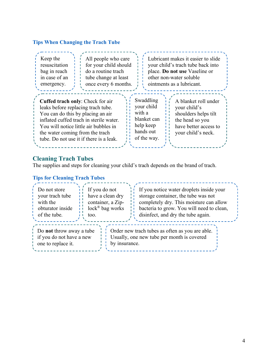# **Tips When Changing the Trach Tube**

| Keep the<br>All people who care<br>for your child should<br>resuscitation<br>bag in reach<br>do a routine trach<br>in case of an<br>tube change at least<br>once every 6 months.<br>emergency.                                                                                                                                                                                                                                                                                                               | Lubricant makes it easier to slide<br>your child's trach tube back into<br>place. Do not use Vaseline or<br>other non-water soluble<br>ointments as a lubricant. |  |  |  |
|--------------------------------------------------------------------------------------------------------------------------------------------------------------------------------------------------------------------------------------------------------------------------------------------------------------------------------------------------------------------------------------------------------------------------------------------------------------------------------------------------------------|------------------------------------------------------------------------------------------------------------------------------------------------------------------|--|--|--|
| Swaddling<br>A blanket roll under<br>Cuffed trach only: Check for air<br>your child<br>leaks before replacing trach tube.<br>your child's<br>with a<br>You can do this by placing an air<br>shoulders helps tilt<br>blanket can<br>inflated cuffed trach in sterile water.<br>the head so you<br>help keep<br>have better access to<br>You will notice little air bubbles in<br>hands out<br>the water coming from the trach<br>your child's neck.<br>of the way.<br>tube. Do not use it if there is a leak. |                                                                                                                                                                  |  |  |  |

# **Cleaning Trach Tubes**

The supplies and steps for cleaning your child's trach depends on the brand of trach.

## **Tips for Cleaning Trach Tubes**

| Do not store                                                               | If you do not                | If you notice water droplets inside your                                                      |
|----------------------------------------------------------------------------|------------------------------|-----------------------------------------------------------------------------------------------|
| your trach tube                                                            | have a clean dry             | storage container, the tube was not                                                           |
| with the                                                                   | container, a Zip-            | completely dry. This moisture can allow                                                       |
| obturator inside                                                           | $lock^{\circledR}$ bag works | bacteria to grow. You will need to clean,                                                     |
| of the tube.                                                               | too.                         | disinfect, and dry the tube again.                                                            |
| Do not throw away a tube<br>if you do not have a new<br>one to replace it. | by insurance.                | Order new trach tubes as often as you are able.<br>Usually, one new tube per month is covered |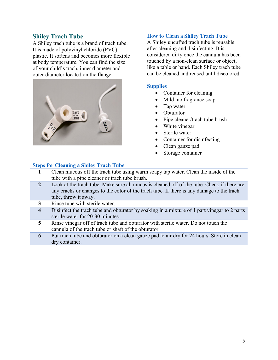## **Shiley Trach Tube**

A Shiley trach tube is a brand of trach tube. It is made of polyvinyl chloride (PVC) plastic. It softens and becomes more flexible at body temperature. You can find the size of your child's trach, inner diameter and outer diameter located on the flange.



#### **How to Clean a Shiley Trach Tube**

A Shiley uncuffed trach tube is reusable after cleaning and disinfecting. It is considered dirty once the cannula has been touched by a non-clean surface or object, like a table or hand. Each Shiley trach tube can be cleaned and reused until discolored.

#### **Supplies**

- Container for cleaning
- Mild, no fragrance soap
- Tap water
- Obturator
- Pipe cleaner/trach tube brush
- White vinegar
- Sterile water
- Container for disinfecting
- Clean gauze pad
- Storage container

#### **Steps for Cleaning a Shiley Trach Tube**

- **1** Clean mucous off the trach tube using warm soapy tap water. Clean the inside of the tube with a pipe cleaner or trach tube brush.
- **2** Look at the trach tube. Make sure all mucus is cleaned off of the tube. Check if there are any cracks or changes to the color of the trach tube. If there is any damage to the trach tube, throw it away.

**3** Rinse tube with sterile water.

- **4** Disinfect the trach tube and obturator by soaking in a mixture of 1 part vinegar to 2 parts sterile water for 20-30 minutes.
- **5** Rinse vinegar off of trach tube and obturator with sterile water. Do not touch the cannula of the trach tube or shaft of the obturator.
- **6** Put trach tube and obturator on a clean gauze pad to air dry for 24 hours. Store in clean dry container.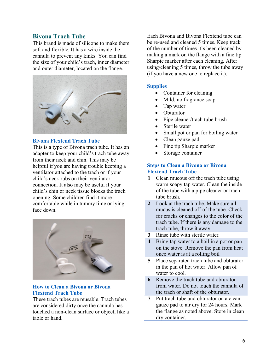## **Bivona Trach Tube**

This brand is made of silicone to make them soft and flexible. It has a wire inside the cannula to prevent any kinks. You can find the size of your child's trach, inner diameter and outer diameter, located on the flange.



#### **Bivona Flextend Trach Tube**

This is a type of Bivona trach tube. It has an adapter to keep your child's trach tube away from their neck and chin. This may be helpful if you are having trouble keeping a ventilator attached to the trach or if your child's neck rubs on their ventilator connection. It also may be useful if your child's chin or neck tissue blocks the trach opening. Some children find it more comfortable while in tummy time or lying face down.



#### **How to Clean a Bivona or Bivona Flextend Trach Tube**

These trach tubes are reusable. Trach tubes are considered dirty once the cannula has touched a non-clean surface or object, like a table or hand.

Each Bivona and Bivona Flextend tube can be re-used and cleaned 5 times. Keep track of the number of times it's been cleaned by making a mark on the flange with a fine tip Sharpie marker after each cleaning. After using/cleaning 5 times, throw the tube away (if you have a new one to replace it).

#### **Supplies**

- Container for cleaning
- Mild, no fragrance soap
- Tap water
- Obturator
- Pipe cleaner/trach tube brush
- Sterile water
- Small pot or pan for boiling water
- Clean gauze pad
- Fine tip Sharpie marker
- Storage container

#### **Steps to Clean a Bivona or Bivona Flextend Trach Tube**

- **1** Clean mucous off the trach tube using warm soapy tap water. Clean the inside of the tube with a pipe cleaner or trach tube brush.
- **2** Look at the trach tube. Make sure all mucus is cleaned off of the tube. Check for cracks or changes to the color of the trach tube. If there is any damage to the trach tube, throw it away.
- **3** Rinse tube with sterile water.
- **4** Bring tap water to a boil in a pot or pan on the stove. Remove the pan from heat once water is at a rolling boil
- **5** Place separated trach tube and obturator in the pan of hot water. Allow pan of water to cool.
- **6** Remove the trach tube and obturator from water. Do not touch the cannula of the trach or shaft of the obturator.
- **7** Put trach tube and obturator on a clean gauze pad to air dry for 24 hours. Mark the flange as noted above. Store in clean dry container.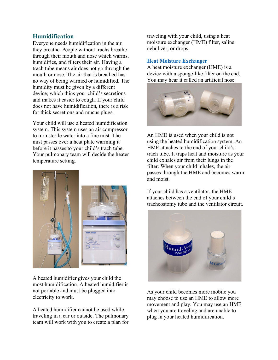## **Humidification**

Everyone needs humidification in the air they breathe. People without trachs breathe through their mouth and nose which warms, humidifies, and filters their air. Having a trach tube means air does not go through the mouth or nose. The air that is breathed has no way of being warmed or humidified. The humidity must be given by a different device, which thins your child's secretions and makes it easier to cough. If your child does not have humidification, there is a risk for thick secretions and mucus plugs.

Your child will use a heated humidification system. This system uses an air compressor to turn sterile water into a fine mist. The mist passes over a heat plate warming it before it passes to your child's trach tube. Your pulmonary team will decide the heater temperature setting.



A heated humidifier gives your child the most humidification. A heated humidifier is not portable and must be plugged into electricity to work.

A heated humidifier cannot be used while traveling in a car or outside. The pulmonary team will work with you to create a plan for traveling with your child, using a heat moisture exchanger (HME) filter, saline nebulizer, or drops.

### **Heat Moisture Exchanger**

A heat moisture exchanger (HME) is a device with a sponge-like filter on the end. You may hear it called an artificial nose.



An HME is used when your child is not using the heated humidification system. An HME attaches to the end of your child's trach tube. It traps heat and moisture as your child exhales air from their lungs in the filter. When your child inhales, the air passes through the HME and becomes warm and moist.

If your child has a ventilator, the HME attaches between the end of your child's tracheostomy tube and the ventilator circuit.



As your child becomes more mobile you may choose to use an HME to allow more movement and play. You may use an HME when you are traveling and are unable to plug in your heated humidification.